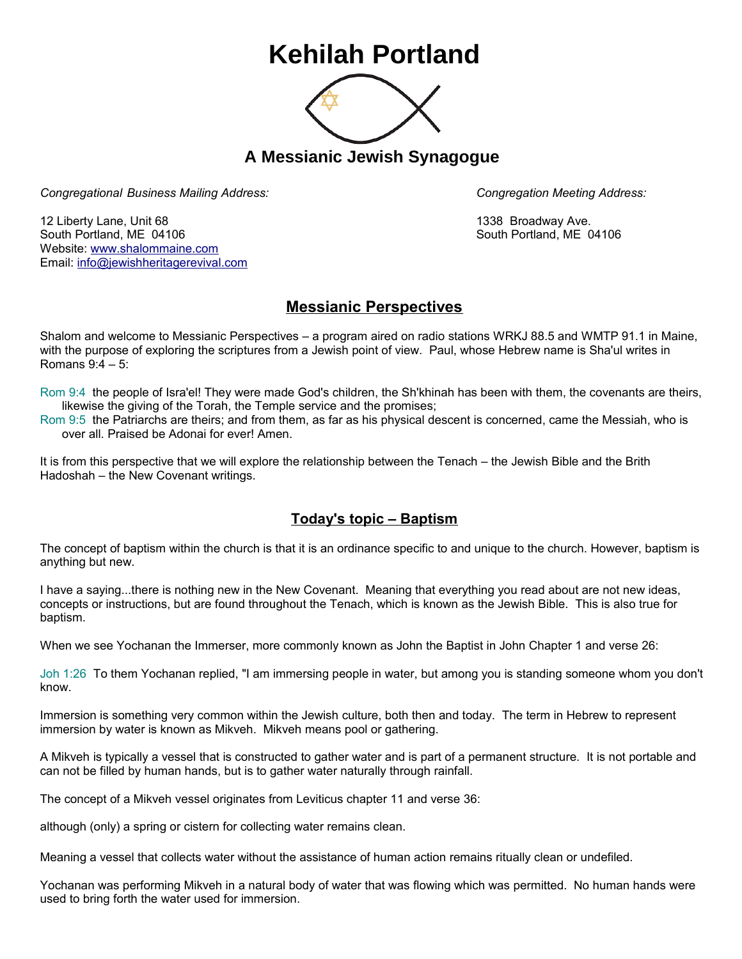## **Kehilah Portland**



**A Messianic Jewish Synagogue** 

*Congregational Business Mailing Address: Congregation Meeting Address:*

12 Liberty Lane, Unit 68 1338 Broadway Ave. South Portland, ME 04106 South Portland, ME 04106 Website: [www.shalommaine.com](http://www.shalommaine.com/) Email: [info@jewishheritagerevival.com](mailto:info@jewishheritagerevival.com) 

## **Messianic Perspectives**

Shalom and welcome to Messianic Perspectives – a program aired on radio stations WRKJ 88.5 and WMTP 91.1 in Maine, with the purpose of exploring the scriptures from a Jewish point of view. Paul, whose Hebrew name is Sha'ul writes in Romans 9:4 – 5:

Rom 9:4 the people of Isra'el! They were made God's children, the Sh'khinah has been with them, the covenants are theirs, likewise the giving of the Torah, the Temple service and the promises;

Rom 9:5 the Patriarchs are theirs; and from them, as far as his physical descent is concerned, came the Messiah, who is over all. Praised be Adonai for ever! Amen.

It is from this perspective that we will explore the relationship between the Tenach – the Jewish Bible and the Brith Hadoshah – the New Covenant writings.

## **Today's topic – Baptism**

The concept of baptism within the church is that it is an ordinance specific to and unique to the church. However, baptism is anything but new.

I have a saying...there is nothing new in the New Covenant. Meaning that everything you read about are not new ideas, concepts or instructions, but are found throughout the Tenach, which is known as the Jewish Bible. This is also true for baptism.

When we see Yochanan the Immerser, more commonly known as John the Baptist in John Chapter 1 and verse 26:

Joh 1:26 To them Yochanan replied, "I am immersing people in water, but among you is standing someone whom you don't know.

Immersion is something very common within the Jewish culture, both then and today. The term in Hebrew to represent immersion by water is known as Mikveh. Mikveh means pool or gathering.

A Mikveh is typically a vessel that is constructed to gather water and is part of a permanent structure. It is not portable and can not be filled by human hands, but is to gather water naturally through rainfall.

The concept of a Mikveh vessel originates from Leviticus chapter 11 and verse 36:

although (only) a spring or cistern for collecting water remains clean.

Meaning a vessel that collects water without the assistance of human action remains ritually clean or undefiled.

Yochanan was performing Mikveh in a natural body of water that was flowing which was permitted. No human hands were used to bring forth the water used for immersion.